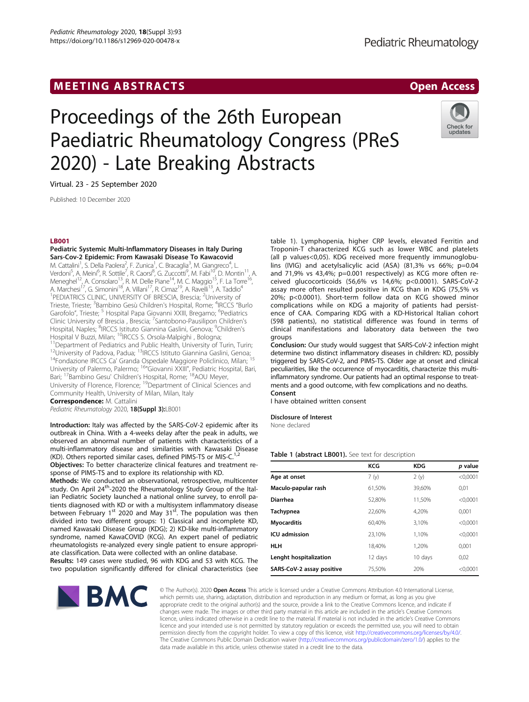## MEETING ABSTRACTS AND RESERVE THE SERVE AND THE SERVE ASSESSED AND RESERVE ASSESSED AND RESERVE ASSESSED AND RESERVE ASSESSED AND RESERVE ASSESSED AND RESERVE ASSESSED AND RESERVE ASSESSED AND RESERVE ASSESSED AND RESERVE

# Proceedings of the 26th European Paediatric Rheumatology Congress (PReS 2020) - Late Breaking Abstracts



Virtual. 23 - 25 September 2020

Published: 10 December 2020

#### LB001

Pediatric Systemic Multi-Inflammatory Diseases in Italy During Sars-Cov-2 Epidemic: From Kawasaki Disease To Kawacovid M. Cattalini<sup>1</sup>, S. Della Paolera<sup>2</sup>, F. Zunica<sup>1</sup>, C. Bracaglia<sup>3</sup>, M. Giangreco<sup>4</sup>, L. Verdoni<sup>5</sup>, A. Meini<sup>6</sup>, R. Sottile<sup>7</sup>, R. Caorsi<sup>8</sup>, G. Zuccotti<sup>9</sup>, M. Fabi<sup>10</sup>, D. Montin<sup>11</sup>, A. Meneghel<sup>12</sup>, A. Consolaro<sup>13</sup>, R. M. Delle Piane<sup>14</sup>, M. C. Maggio<sup>15</sup>, F. La Torre<sup>16</sup>, A. Marchesi<sup>17</sup>, G. Simonini<sup>18</sup>, A. Villani<sup>17</sup>, R. Cimaz<sup>19</sup>, A. Ravelli<sup>13</sup>, A. Taddio<sup>4</sup> <sup>1</sup>PEDIATRICS CLINIC, UNIVERSITY OF BRESCIA, Brescia; <sup>2</sup>University of Trieste, Trieste; <sup>3</sup>Bambino Gesù Children's Hospital, Rome; <sup>4</sup>IRCCS "Burlo Garofolo", Trieste; <sup>5</sup> Hospital Papa Giovanni XXIII, Bregamo; <sup>6</sup>Pediatrics Clinic University of Brescia, Brescia; <sup>7</sup>Santobono-Pausilipon Children's Hospital, Naples; <sup>8</sup>IRCCS Istituto Giannina Gaslini, Genova; <sup>9</sup>Children's Hospital V Buzzi, Milan; <sup>10</sup>IRCCS S. Orsola-Malpighi , Bologna;<br><sup>11</sup> Department of Pediatrics and Public Health, University of Turin, Turin;<br><sup>12</sup> University of Padova, Padua; <sup>13</sup>IRCCS Istituto Giannina Gaslini, Genoa;<br><sup>1</sup> University of Palermo, Palermo; 16"Giovanni XXIII", Pediatric Hospital, Bari, Bari; <sup>17</sup>Bambino Gesu' Children's Hospital, Rome; <sup>18</sup>AOU Meyer, University of Florence, Florence; 19Department of Clinical Sciences and Community Health, University of Milan, Milan, Italy

Correspondence: M. Cattalini

Pediatric Rheumatology 2020, 18(Suppl 3):LB001

Introduction: Italy was affected by the SARS-CoV-2 epidemic after its outbreak in China. With a 4-weeks delay after the peak in adults, we observed an abnormal number of patients with characteristics of a multi-inflammatory disease and similarities with Kawasaki Disease (KD). Others reported similar cases, defined PIMS-TS or MIS-C.<sup>1,2</sup>

Objectives: To better characterize clinical features and treatment response of PIMS-TS and to explore its relationship with KD.

Methods: We conducted an observational, retrospective, multicenter study. On April 24<sup>th</sup>-2020 the Rheumatology Study Group of the Italian Pediatric Society launched a national online survey, to enroll patients diagnosed with KD or with a multisystem inflammatory disease between February 1<sup>st</sup> 2020 and May 31<sup>st</sup>. The population was then divided into two different groups: 1) Classical and incomplete KD, named Kawasaki Disease Group (KDG); 2) KD-like multi-inflammatory syndrome, named KawaCOVID (KCG). An expert panel of pediatric rheumatologists re-analyzed every single patient to ensure appropriate classification. Data were collected with an online database.

Results: 149 cases were studied, 96 with KDG and 53 with KCG. The two population significantly differed for clinical characteristics (see



table 1). Lymphopenia, higher CRP levels, elevated Ferritin and Troponin-T characterized KCG such as lower WBC and platelets (all p values<0,05). KDG received more frequently immunoglobulins (IVIG) and acetylsalicylic acid (ASA) (81,3% vs 66%; p=0.04 and 71,9% vs 43,4%; p=0.001 respectively) as KCG more often received glucocorticoids (56,6% vs 14,6%; p<0.0001). SARS-CoV-2 assay more often resulted positive in KCG than in KDG (75,5% vs 20%; p<0.0001). Short-term follow data on KCG showed minor complications while on KDG a majority of patients had persistence of CAA. Comparing KDG with a KD-Historical Italian cohort (598 patients), no statistical difference was found in terms of clinical manifestations and laboratory data between the two groups

Conclusion: Our study would suggest that SARS-CoV-2 infection might determine two distinct inflammatory diseases in children: KD, possibly triggered by SARS-CoV-2, and PIMS-TS. Older age at onset and clinical peculiarities, like the occurrence of myocarditis, characterize this multiinflammatory syndrome. Our patients had an optimal response to treatments and a good outcome, with few complications and no deaths. Consent

I have obtained written consent

#### Disclosure of Interest

None declared

#### Table 1 (abstract LB001). See text for description

|                           | KCG     | <b>KDG</b> | p value    |
|---------------------------|---------|------------|------------|
| Age at onset              | 7(y)    | 2(y)       | < 0.0001   |
| Maculo-papular rash       | 61,50%  | 39,60%     | 0.01       |
| <b>Diarrhea</b>           | 52.80%  | 11.50%     | < 0.0001   |
| Tachypnea                 | 22.60%  | 4.20%      | 0.001      |
| <b>Myocarditis</b>        | 60.40%  | 3.10%      | < 0.0001   |
| <b>ICU</b> admission      | 23.10%  | 1.10%      | < 0.0001   |
| HLH                       | 18.40%  | 1.20%      | 0.001      |
| Lenght hospitalization    | 12 days | 10 days    | 0.02       |
| SARS-CoV-2 assay positive | 75.50%  | 20%        | $<$ 0,0001 |

© The Author(s). 2020 Open Access This article is licensed under a Creative Commons Attribution 4.0 International License, which permits use, sharing, adaptation, distribution and reproduction in any medium or format, as long as you give appropriate credit to the original author(s) and the source, provide a link to the Creative Commons licence, and indicate if changes were made. The images or other third party material in this article are included in the article's Creative Commons licence, unless indicated otherwise in a credit line to the material. If material is not included in the article's Creative Commons licence and your intended use is not permitted by statutory regulation or exceeds the permitted use, you will need to obtain permission directly from the copyright holder. To view a copy of this licence, visit [http://creativecommons.org/licenses/by/4.0/.](http://creativecommons.org/licenses/by/4.0/) The Creative Commons Public Domain Dedication waiver (<http://creativecommons.org/publicdomain/zero/1.0/>) applies to the data made available in this article, unless otherwise stated in a credit line to the data.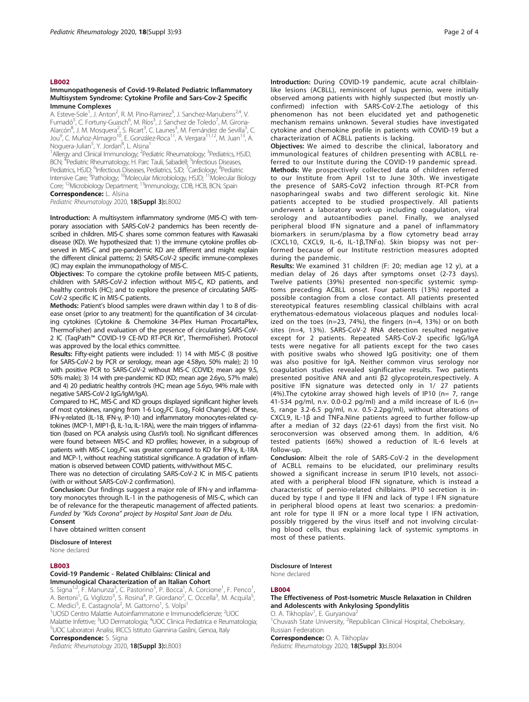#### LB002

#### Immunopathogenesis of Covid-19-Related Pediatric Inflammatory Multisystem Syndrome: Cytokine Profile and Sars-Cov-2 Specific Immune Complexes

A. Esteve-Sole<sup>1</sup>, J. Anton<sup>2</sup>, R. M. Pino-Ramirez<sup>3</sup>, J. Sanchez-Manubens<sup>2,4</sup>, V. Fumadó<sup>5</sup>, C. Fortuny-Guasch<sup>6</sup>, M. Ríos<sup>3</sup>, J. Sanchez de Toledo<sup>7</sup>, M. Girona-Alarcón<sup>8</sup>, J. M. Mosquera<sup>2</sup>, S. Ricart<sup>3</sup>, C. Launes<sup>3</sup>, M. Fernández de Sevilla<sup>3</sup>, C.<br>Jou<sup>9</sup>, C. Muñoz-Almagro<sup>10</sup>, E. González-Roca<sup>11</sup>, A. Vergara<sup>11,12</sup>, M. Juan<sup>13</sup>, A. Noguera-Julian<sup>5</sup>, Y. Jordan<sup>8</sup>, L. Alsina<sup>1</sup>

<sup>1</sup>Allergy and Clinical Immunology; <sup>2</sup>Pediatric Rheumatology; <sup>3</sup>Pediatrics, HSJD, BCN; <sup>4</sup>Pediatric Rheumatology, H. Parc Tauli, Sabadell; <sup>5</sup>Infectious Diseases, Pediatrics, HSJD; <sup>6</sup>Infectious Diseases, Pediatrics, SJD; <sup>7</sup>Cardiology; <sup>8</sup>Pediatric Intensive Care; <sup>9</sup>Pathology; <sup>10</sup>Molecular Microbiology, HSJD; <sup>11</sup>Molecular Biology Core; 12Microbiology Department; 13Immunology, CDB, HCB, BCN, Spain

### Correspondence: L. Alsina

Pediatric Rheumatology 2020, 18(Suppl 3):LB002

Introduction: A multisystem inflammatory syndrome (MIS-C) with temporary association with SARS-CoV-2 pandemics has been recently described in children. MIS-C shares some common features with Kawasaki disease (KD). We hypothesized that: 1) the immune cytokine profiles observed in MIS-C and pre-pandemic KD are different and might explain the different clinical patterns; 2) SARS-CoV-2 specific immune-complexes (IC) may explain the immunopathology of MIS-C.

Objectives: To compare the cytokine profile between MIS-C patients, children with SARS-CoV-2 infection without MIS-C, KD patients, and healthy controls (HC); and to explore the presence of circulating SARS-CoV-2 specific IC in MIS-C patients.

Methods: Patient's blood samples were drawn within day 1 to 8 of disease onset (prior to any treatment) for the quantification of 34 circulating cytokines (Cytokine & Chemokine 34-Plex Human ProcartaPlex, ThermoFisher) and evaluation of the presence of circulating SARS-CoV-2 IC (TaqPath™ COVID-19 CE-IVD RT-PCR Kit", ThermoFisher). Protocol was approved by the local ethics committee.

Results: Fifty-eight patients were included: 1) 14 with MIS-C (8 positive for SARS-CoV-2 by PCR or serology, mean age 4.58yo, 50% male); 2) 10 with positive PCR to SARS-CoV-2 without MIS-C (COVID; mean age 9.5, 50% male); 3) 14 with pre-pandemic KD (KD; mean age 2.6yo, 57% male) and 4) 20 pediatric healthy controls (HC; mean age 5.6yo, 94% male with negative SARS-CoV-2 IgG/IgM/IgA).

Compared to HC, MIS-C and KD groups displayed significant higher levels of most cytokines, ranging from 1-6  $Log<sub>2</sub>FC (Log<sub>2</sub> Fold Change)$ . Of these, IFN-γ-related (IL-18, IFN-γ, IP-10) and inflammatory monocytes-related cytokines (MCP-1, MIP1-β, IL-1α, IL-1RA), were the main triggers of inflammation (based on PCA analysis using ClustVis tool). No significant differences were found between MIS-C and KD profiles; however, in a subgroup of patients with MIS-C Log<sub>2</sub>FC was greater compared to KD for IFN-γ, IL-1RA and MCP-1, without reaching statistical significance. A gradation of inflammation is observed between COVID patients, with/without MIS-C.

There was no detection of circulating SARS-CoV-2 IC in MIS-C patients (with or without SARS-CoV-2 confirmation).

Conclusion: Our findings suggest a major role of IFN-γ and inflammatory monocytes through IL-1 in the pathogenesis of MIS-C, which can be of relevance for the therapeutic management of affected patients. Funded by "Kids Corona" project by Hospital Sant Joan de Déu.

#### Consent

I have obtained written consent

Disclosure of Interest

None declared

#### LB003

#### Covid-19 Pandemic - Related Chilblains: Clinical and Immunological Characterization of an Italian Cohort

S. Signa<sup>1,2</sup>, F. Manunza<sup>3</sup>, C. Pastorino<sup>3</sup>, P. Bocca<sup>1</sup>, A. Corcione<sup>1</sup>, F. Penco<sup>1</sup> , A. Bertoni<sup>1</sup>, G. Viglizzo<sup>3</sup>, S. Rosina<sup>4</sup>, P. Giordano<sup>2</sup>, C. Occella<sup>3</sup>, M. Acquila<sup>5</sup> , C. Medici<sup>5</sup>, E. Castagnola<sup>2</sup>, M. Gattorno<sup>1</sup>, S. Volpi<sup>1</sup>

<sup>1</sup>UOSD Centro Malattie Autoinfiammatorie e Immunodeficienze; <sup>2</sup>UOC Malattie Infettive; <sup>3</sup>UO Dermatologia; <sup>4</sup>UOC Clinica Pediatrica e Reumatologia;<br><sup>5</sup>LIOC Laboratori Apalici, IPCCS Istituto Ciannina Caslini, Conca, Italy <sup>5</sup>UOC Laboratori Analisi, IRCCS Istituto Giannina Gaslini, Genoa, Italy

Correspondence: S. Signa

Pediatric Rheumatology 2020, 18(Suppl 3):LB003

Introduction: During COVID-19 pandemic, acute acral chilblainlike lesions (ACBLL), reminiscent of lupus pernio, were initially observed among patients with highly suspected (but mostly unconfirmed) infection with SARS-CoV-2.The aetiology of this phenomenon has not been elucidated yet and pathogenetic mechanism remains unknown. Several studies have investigated cytokine and chemokine profile in patients with COVID-19 but a characterization of ACBLL patients is lacking.

Objectives: We aimed to describe the clinical, laboratory and immunological features of children presenting with ACBLL referred to our Institute during the COVID-19 pandemic spread. Methods: We prospectively collected data of children referred to our Institute from April 1st to June 30th. We investigate the presence of SARS-CoV2 infection through RT-PCR from nasopharingeal swabs and two different serologic kit. Nine patients accepted to be studied prospectively. All patients underwent a laboratory work-up including coagulation, viral serology and autoantibodies panel. Finally, we analysed peripheral blood IFN signature and a panel of inflammatory biomarkers in serum/plasma by a flow cytometry bead array (CXCL10, CXCL9, IL-6, IL-1β,TNFα). Skin biopsy was not performed because of our Institute restriction measures adopted during the pandemic.

Results: We examined 31 children (F: 20; median age 12 y), at a median delay of 26 days after symptoms onset (2-73 days). Twelve patients (39%) presented non-specific systemic symptoms preceding ACBLL onset. Four patients (13%) reported a possible contagion from a close contact. All patients presented stereotypical features resembling classical chilblains with acral erythematous-edematous violaceous plaques and nodules localized on the toes (n=23, 74%), the fingers (n=4, 13%) or on both sites (n=4, 13%). SARS-CoV-2 RNA detection resulted negative except for 2 patients. Repeated SARS-CoV-2 specific IgG/IgA tests were negative for all patients except for the two cases with positive swabs who showed IgG positivity; one of them was also positive for IgA. Neither common virus serology nor coagulation studies revealed significative results. Two patients presented positive ANA and anti β2 glycoprotein,respectively. A positive IFN signature was detected only in 1/ 27 patients  $(4%)$ . The cytokine array showed high levels of IP10 (n= 7, range 41-534 pg/ml, n.v. 0.0-0.2 pg/ml) and a mild increase of IL-6 (n= 5, range 3.2-6.5 pg/ml, n.v. 0.5-2.2pg/ml), without alterations of CXCL9, IL-1β and TNFa.Nine patients agreed to further follow-up after a median of 32 days (22-61 days) from the first visit. No seroconversion was observed among them. In addition, 4/6 tested patients (66%) showed a reduction of IL-6 levels at follow-up.

Conclusion: Albeit the role of SARS-CoV-2 in the development of ACBLL remains to be elucidated, our preliminary results showed a significant increase in serum IP10 levels, not associated with a peripheral blood IFN signature, which is instead a characteristic of pernio-related chilblains. IP10 secretion is induced by type I and type II IFN and lack of type I IFN signature in peripheral blood opens at least two scenarios: a predominant role for type II IFN or a more local type I IFN activation, possibly triggered by the virus itself and not involving circulating blood cells, thus explaining lack of systemic symptoms in most of these patients.

#### Disclosure of Interest

None declared

#### LB004

#### The Effectiveness of Post-Isometric Muscle Relaxation in Children and Adolescents with Ankylosing Spondylitis

O. A. Tikhoplav<sup>1</sup>, E. Guryanova<sup>2</sup> <sup>1</sup>Chuvash State University, <sup>2</sup>Republican Clinical Hospital, Cheboksary Russian Federation

Correspondence: O. A. Tikhoplav

Pediatric Rheumatology 2020, 18(Suppl 3):LB004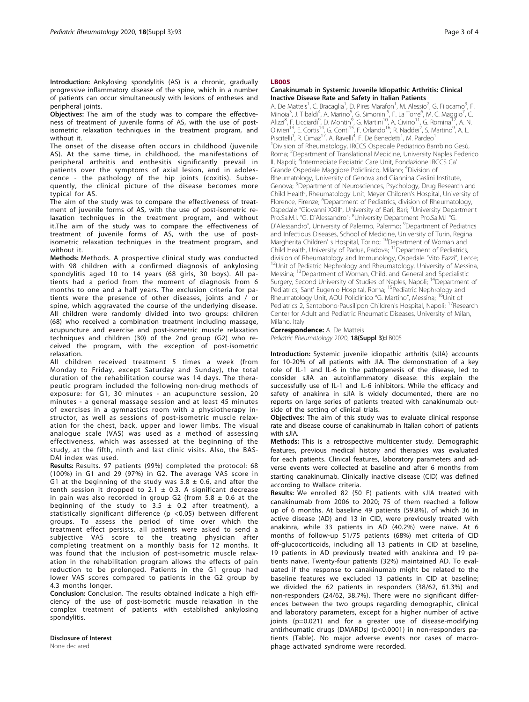Introduction: Ankylosing spondylitis (AS) is a chronic, gradually progressive inflammatory disease of the spine, which in a number of patients can occur simultaneously with lesions of entheses and peripheral joints.

Objectives: The aim of the study was to compare the effectiveness of treatment of juvenile forms of AS, with the use of postisometric relaxation techniques in the treatment program, and without it.

The onset of the disease often occurs in childhood (juvenile AS). At the same time, in childhood, the manifestations of peripheral arthritis and enthesitis significantly prevail in patients over the symptoms of axial lesion, and in adolescence - the pathology of the hip joints (coxitis). Subsequently, the clinical picture of the disease becomes more typical for AS.

The aim of the study was to compare the effectiveness of treatment of juvenile forms of AS, with the use of post-isometric relaxation techniques in the treatment program, and without it.The aim of the study was to compare the effectiveness of treatment of juvenile forms of AS, with the use of postisometric relaxation techniques in the treatment program, and without it.

Methods: Methods. A prospective clinical study was conducted with 98 children with a confirmed diagnosis of ankylosing spondylitis aged 10 to 14 years (68 girls, 30 boys). All patients had a period from the moment of diagnosis from 6 months to one and a half years. The exclusion criteria for patients were the presence of other diseases, joints and / or spine, which aggravated the course of the underlying disease. All children were randomly divided into two groups: children (68) who received a combination treatment including massage, acupuncture and exercise and post-isometric muscle relaxation techniques and children (30) of the 2nd group (G2) who received the program, with the exception of post-isometric relaxation.

All children received treatment 5 times a week (from Monday to Friday, except Saturday and Sunday), the total duration of the rehabilitation course was 14 days. The therapeutic program included the following non-drug methods of exposure: for G1, 30 minutes - an acupuncture session, 20 minutes - a general massage session and at least 45 minutes of exercises in a gymnastics room with a physiotherapy instructor, as well as sessions of post-isometric muscle relaxation for the chest, back, upper and lower limbs. The visual analogue scale (VAS) was used as a method of assessing effectiveness, which was assessed at the beginning of the study, at the fifth, ninth and last clinic visits. Also, the BAS-DAI index was used.

Results: Results. 97 patients (99%) completed the protocol: 68 (100%) in G1 and 29 (97%) in G2. The average VAS score in G1 at the beginning of the study was  $5.8 \pm 0.6$ , and after the tenth session it dropped to 2.1  $\pm$  0.3. A significant decrease in pain was also recorded in group G2 (from  $5.8 \pm 0.6$  at the beginning of the study to 3.5  $\pm$  0.2 after treatment), a statistically significant difference (p <0.05) between different groups. To assess the period of time over which the treatment effect persists, all patients were asked to send a subjective VAS score to the treating physician after completing treatment on a monthly basis for 12 months. It was found that the inclusion of post-isometric muscle relaxation in the rehabilitation program allows the effects of pain reduction to be prolonged. Patients in the G1 group had lower VAS scores compared to patients in the G2 group by 4.3 months longer.

Conclusion: Conclusion. The results obtained indicate a high efficiency of the use of post-isometric muscle relaxation in the complex treatment of patients with established ankylosing spondylitis.

#### Disclosure of Interest None declared

#### LB005

#### Canakinumab in Systemic Juvenile Idiopathic Arthritis: Clinical Inactive Disease Rate and Safety in Italian Patients

A. De Matteis<sup>1</sup>, C. Bracaglia<sup>1</sup>, D. Pires Marafon<sup>1</sup>, M. Alessio<sup>2</sup>, G. Filocamo<sup>3</sup>, F. Minoia<sup>3</sup>, J. Tibaldi<sup>4</sup>, A. Marino<sup>5</sup>, G. Simonini<sup>5</sup>, F. La Torre<sup>6</sup>, M. C. Maggio<sup>7</sup>, C<br>Alizzi<sup>8</sup>, F. Licciardi<sup>9</sup>, D. Montin<sup>9</sup>, G. Martini<sup>10</sup>, A. Civino<sup>11</sup>, G. Romina<sup>12</sup>, A. N. Olivieri<sup>13</sup>, E. Cortis<sup>14</sup>, G. Conti<sup>15</sup>, F. Orlando<sup>16</sup>, R. Naddei<sup>2</sup>, S. Martino<sup>9</sup>, A. L. Piscitelli<sup>1</sup>, R. Cimaz<sup>17</sup>, A. Ravelli<sup>4</sup>, F. De Benedetti<sup>1</sup>, M. Pardeo<sup>1</sup> <sup>1</sup> Division of Rheumatology, IRCCS Ospedale Pediatrico Bambino Gesù, Roma; <sup>2</sup>Department of Translational Medicine, University Naples Federico II, Napoli; <sup>3</sup>Intermediate Pediatric Care Unit, Fondazione IRCCS Ca Grande Ospedale Maggiore Policlinico, Milano; <sup>4</sup> Division of Rheumatology, University of Genova and Giannina Gaslini Institute, Genova; <sup>5</sup>Department of Neurosciences, Psychology, Drug Research and Child Health, Rheumatology Unit, Meyer Children's Hospital, University of Florence, Firenze; <sup>6</sup>Department of Pediatrics, division of Rheumatology, Ospedale "Giovanni XXIII", University of Bari, Bari; <sup>7</sup>University Department Pro.Sa.M.I. "G. D'Alessandro"; <sup>8</sup>University Department Pro.Sa.M.I "G D'Alessandro", University of Palermo, Palermo; <sup>9</sup>Department of Pediatrics and Infectious Diseases, School of Medicine, University of Turin, Regina Margherita Children' s Hospital, Torino; <sup>10</sup>Department of Woman and Child Health, University of Padua, Padova; <sup>11</sup>Department of Pediatrics,<br>division of Rheumatology and Immunology, Ospedale "Vito Fazzi", Lecce; <sup>12</sup>Unit of Pediatric Nephrology and Rheumatology, University of Messina, Messina; 13Department of Woman, Child, and General and Specialistic Surgery, Second University of Studies of Naples, Napoli; <sup>14</sup>Department of Pediatrics, Sant' Eugenio Hospital, Roma; <sup>15</sup>Pediatric Nephrology and Rheumatology Unit, AOU Policlinico "G. Martino", Messina; 16Unit of Pediatrics 2, Santobono-Pausilipon Children's Hospital, Napoli; <sup>17</sup>Research Center for Adult and Pediatric Rheumatic Diseases, University of Milan, Milano, Italy

**Correspondence: A. De Matteis** 

Pediatric Rheumatology 2020, 18(Suppl 3):LB005

Introduction: Systemic juvenile idiopathic arthritis (sJIA) accounts for 10-20% of all patients with JIA. The demonstration of a key role of IL-1 and IL-6 in the pathogenesis of the disease, led to consider sJIA an autoinflammatory disease: this explain the successfully use of IL-1 and IL-6 inhibitors. While the efficacy and safety of anakinra in sJIA is widely documented, there are no reports on large series of patients treated with canakinumab outside of the setting of clinical trials.

Objectives: The aim of this study was to evaluate clinical response rate and disease course of canakinumab in Italian cohort of patients with s IIA

Methods: This is a retrospective multicenter study. Demographic features, previous medical history and therapies was evaluated for each patients. Clinical features, laboratory parameters and adverse events were collected at baseline and after 6 months from starting canakinumab. Clinically inactive disease (CID) was defined according to Wallace criteria.

Results: We enrolled 82 (50 F) patients with sJIA treated with canakinumab from 2006 to 2020; 75 of them reached a follow up of 6 months. At baseline 49 patients (59.8%), of which 36 in active disease (AD) and 13 in CID, were previously treated with anakinra, while 33 patients in AD (40.2%) were naïve. At 6 months of follow-up 51/75 patients (68%) met criteria of CID off-glucocorticoids, including all 13 patients in CID at baseline, 19 patients in AD previously treated with anakinra and 19 patients naïve. Twenty-four patients (32%) maintained AD. To evaluated if the response to canakinumab might be related to the baseline features we excluded 13 patients in CID at baseline; we divided the 62 patients in responders (38/62, 61.3%) and non-responders (24/62, 38.7%). There were no significant differences between the two groups regarding demographic, clinical and laboratory parameters, except for a higher number of active joints (p=0.021) and for a greater use of disease-modifying antirheumatic drugs (DMARDs) (p<0.0001) in non-responders patients (Table). No major adverse events nor cases of macrophage activated syndrome were recorded.